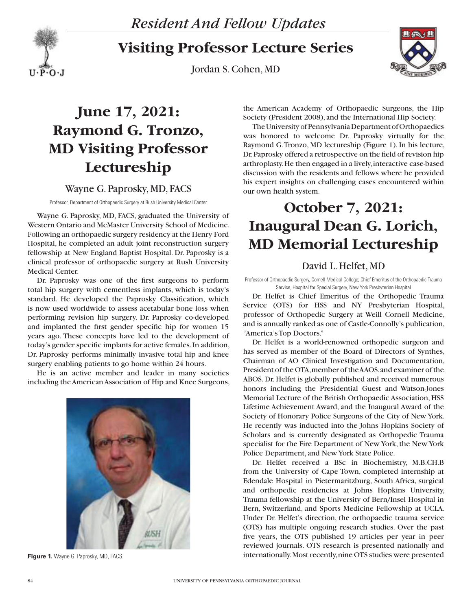

**Visiting Professor Lecture Series**

Jordan S. Cohen, MD



## **June 17, 2021: Raymond G. Tronzo, MD Visiting Professor Lectureship**

### Wayne G. Paprosky, MD, FACS

Professor, Department of Orthopaedic Surgery at Rush University Medical Center

Wayne G. Paprosky, MD, FACS, graduated the University of Western Ontario and McMaster University School of Medicine. Following an orthopaedic surgery residency at the Henry Ford Hospital, he completed an adult joint reconstruction surgery fellowship at New England Baptist Hospital. Dr. Paprosky is a clinical professor of orthopaedic surgery at Rush University Medical Center.

Dr. Paprosky was one of the first surgeons to perform total hip surgery with cementless implants, which is today's standard. He developed the Paprosky Classification, which is now used worldwide to assess acetabular bone loss when performing revision hip surgery. Dr. Paprosky co-developed and implanted the first gender specific hip for women 15 years ago. These concepts have led to the development of today's gender specific implants for active females. In addition, Dr. Paprosky performs minimally invasive total hip and knee surgery enabling patients to go home within 24 hours.

He is an active member and leader in many societies including the American Association of Hip and Knee Surgeons,



**Figure 1.** Wayne G. Paprosky, MD, FACS

the American Academy of Orthopaedic Surgeons, the Hip Society (President 2008), and the International Hip Society.

The University of Pennsylvania Department of Orthopaedics was honored to welcome Dr. Paprosky virtually for the Raymond G. Tronzo, MD lectureship (Figure 1). In his lecture, Dr. Paprosky offered a retrospective on the field of revision hip arthroplasty. He then engaged in a lively, interactive case-based discussion with the residents and fellows where he provided his expert insights on challenging cases encountered within our own health system.

### **October 7, 2021: Inaugural Dean G. Lorich, MD Memorial Lectureship**

### David L. Helfet, MD

Professor of Orthopaedic Surgery, Cornell Medical College; Chief Emeritus of the Orthopaedic Trauma Service, Hospital for Special Surgery, New York Presbyterian Hospital

Dr. Helfet is Chief Emeritus of the Orthopedic Trauma Service (OTS) for HSS and NY Presbyterian Hospital, professor of Orthopedic Surgery at Weill Cornell Medicine, and is annually ranked as one of Castle-Connolly's publication, "America's Top Doctors."

Dr. Helfet is a world-renowned orthopedic surgeon and has served as member of the Board of Directors of Synthes, Chairman of AO Clinical Investigation and Documentation, President of the OTA, member of the AAOS, and examiner of the ABOS. Dr. Helfet is globally published and received numerous honors including the Presidential Guest and Watson-Jones Memorial Lecture of the British Orthopaedic Association, HSS Lifetime Achievement Award, and the Inaugural Award of the Society of Honorary Police Surgeons of the City of New York. He recently was inducted into the Johns Hopkins Society of Scholars and is currently designated as Orthopedic Trauma specialist for the Fire Department of New York, the New York Police Department, and New York State Police.

Dr. Helfet received a BSc in Biochemistry, M.B.CH.B from the University of Cape Town, completed internship at Edendale Hospital in Pietermaritzburg, South Africa, surgical and orthopedic residencies at Johns Hopkins University, Trauma fellowship at the University of Bern/Insel Hospital in Bern, Switzerland, and Sports Medicine Fellowship at UCLA. Under Dr. Helfet's direction, the orthopaedic trauma service (OTS) has multiple ongoing research studies. Over the past five years, the OTS published 19 articles per year in peer reviewed journals. OTS research is presented nationally and internationally. Most recently, nine OTS studies were presented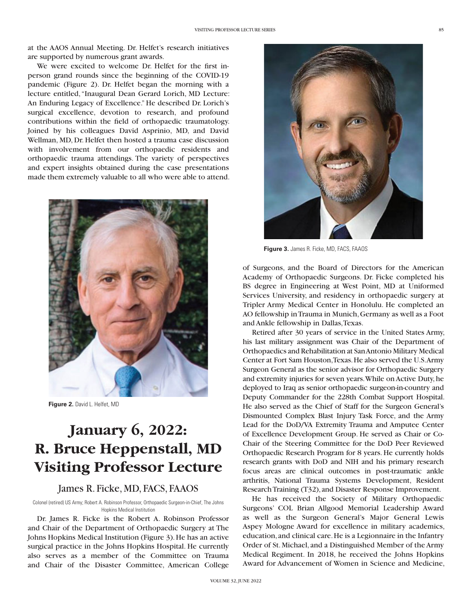at the AAOS Annual Meeting. Dr. Helfet's research initiatives are supported by numerous grant awards.

We were excited to welcome Dr. Helfet for the first inperson grand rounds since the beginning of the COVID-19 pandemic (Figure 2). Dr. Helfet began the morning with a lecture entitled, "Inaugural Dean Gerard Lorich, MD Lecture: An Enduring Legacy of Excellence." He described Dr. Lorich's surgical excellence, devotion to research, and profound contributions within the field of orthopaedic traumatology. Joined by his colleagues David Asprinio, MD, and David Wellman, MD, Dr. Helfet then hosted a trauma case discussion with involvement from our orthopaedic residents and orthopaedic trauma attendings. The variety of perspectives and expert insights obtained during the case presentations made them extremely valuable to all who were able to attend.



**Figure 2.** David L. Helfet, MD

### **January 6, 2022: R. Bruce Heppenstall, MD Visiting Professor Lecture**

#### James R. Ficke, MD, FACS, FAAOS

Colonel (retired) US Army; Robert A. Robinson Professor, Orthopaedic Surgeon-in-Chief, The Johns Hopkins Medical Institution

Dr. James R. Ficke is the Robert A. Robinson Professor and Chair of the Department of Orthopaedic Surgery at The Johns Hopkins Medical Institution (Figure 3). He has an active surgical practice in the Johns Hopkins Hospital. He currently also serves as a member of the Committee on Trauma and Chair of the Disaster Committee, American College



**Figure 3.** James R. Ficke, MD, FACS, FAAOS

of Surgeons, and the Board of Directors for the American Academy of Orthopaedic Surgeons. Dr. Ficke completed his BS degree in Engineering at West Point, MD at Uniformed Services University, and residency in orthopaedic surgery at Tripler Army Medical Center in Honolulu. He completed an AO fellowship in Trauma in Munich, Germany as well as a Foot and Ankle fellowship in Dallas, Texas.

Retired after 30 years of service in the United States Army, his last military assignment was Chair of the Department of Orthopaedics and Rehabilitation at San Antonio Military Medical Center at Fort Sam Houston, Texas. He also served the U.S. Army Surgeon General as the senior advisor for Orthopaedic Surgery and extremity injuries for seven years. While on Active Duty, he deployed to Iraq as senior orthopaedic surgeon-in-country and Deputy Commander for the 228th Combat Support Hospital. He also served as the Chief of Staff for the Surgeon General's Dismounted Complex Blast Injury Task Force, and the Army Lead for the DoD/VA Extremity Trauma and Amputee Center of Excellence Development Group. He served as Chair or Co-Chair of the Steering Committee for the DoD Peer Reviewed Orthopaedic Research Program for 8 years. He currently holds research grants with DoD and NIH and his primary research focus areas are clinical outcomes in post-traumatic ankle arthritis, National Trauma Systems Development, Resident Research Training (T32), and Disaster Response Improvement.

He has received the Society of Military Orthopaedic Surgeons' COL Brian Allgood Memorial Leadership Award as well as the Surgeon General's Major General Lewis Aspey Mologne Award for excellence in military academics, education, and clinical care. He is a Legionnaire in the Infantry Order of St. Michael, and a Distinguished Member of the Army Medical Regiment. In 2018, he received the Johns Hopkins Award for Advancement of Women in Science and Medicine,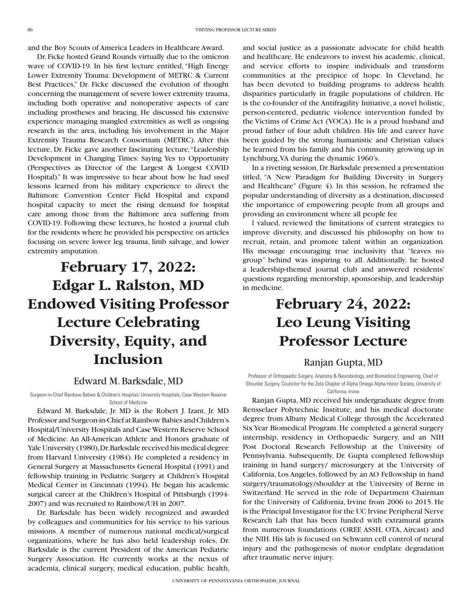and the Boy Scouts of America Leaders in Healthcare Award.

Dr. Ficke hosted Grand Rounds virtually due to the omicron wave of COVID-19. In his first lecture entitled, "High Energy Lower Extremity Trauma: Development of METRC & Current Best Practices," Dr. Ficke discussed the evolution of thought concerning the management of severe lower extremity trauma, including both operative and nonoperative aspects of care including prostheses and bracing. He discussed his extensive experience managing mangled extremities as well as ongoing research in the area, including his involvement in the Major Extremity Trauma Research Consortium (METRC). After this lecture, Dr. Ficke gave another fascinating lecture, "Leadership Development in Changing Times: Saying Yes to Opportunity (Perspectives as Director of the Largest & Longest COVID Hospital)." It was impressive to hear about how he had used lessons learned from his military experience to direct the Baltimore Convention Center Field Hospital and expand hospital capacity to meet the rising demand for hospital care among those from the Baltimore area suffering from COVID-19. Following these lectures, he hosted a journal club for the residents where he provided his perspective on articles focusing on severe lower leg trauma, limb salvage, and lower extremity amputation.

# **February 17, 2022: Edgar L. Ralston, MD Endowed Visiting Professor Lecture Celebrating Diversity, Equity, and Inclusion**

### Edward M. Barksdale, MD

Surgeon-in-Chief Rainbow Babies & Children's Hospital/ University Hospitals, Case Western Reserve School of Medicine

Edward M. Barksdale, Jr. MD is the Robert J. Izant, Jr. MD Professor and Surgeon-in-Chief at Rainbow Babies and Children's Hospital/University Hospitals and Case Western Reserve School of Medicine. An All-American Athlete and Honors graduate of Yale University (1980), Dr. Barksdale received his medical degree from Harvard University (1984). He completed a residency in General Surgery at Massachusetts General Hospital (1991) and fellowship training in Pediatric Surgery at Children's Hospital Medical Center in Cincinnati (1994). He began his academic surgical career at the Children's Hospital of Pittsburgh (1994- 2007) and was recruited to Rainbow/UH in 2007.

Dr. Barksdale has been widely recognized and awarded by colleagues and communities for his service to his various missions. A member of numerous national medical/surgical organizations, where he has also held leadership roles, Dr. Barksdale is the current President of the American Pediatric Surgery Association. He currently works at the nexus of academia, clinical surgery, medical education, public health,

and social justice as a passionate advocate for child health and healthcare. He endeavors to invest his academic, clinical, and service efforts to inspire individuals and transform communities at the precipice of hope. In Cleveland, he has been devoted to building programs to address health disparities particularly in fragile populations of children. He is the co-founder of the Antifragility Initiative, a novel holistic, person-centered, pediatric violence intervention funded by the Victims of Crime Act (VOCA). He is a proud husband and proud father of four adult children. His life and career have been guided by the strong humanistic and Christian values he learned from his family and his community growing up in Lynchburg, VA during the dynamic 1960's.

In a riveting session, Dr. Barksdale presented a presentation titled, "A New Paradigm for Building Diversity in Surgery and Healthcare" (Figure 4). In this session, he reframed the popular understanding of diversity as a destination, discussed the importance of empowering people from all groups and providing an environment where all people fee

l valued, reviewed the limitations of current strategies to improve diversity, and discussed his philosophy on how to recruit, retain, and promote talent within an organization. His message encouraging true inclusivity that "leaves no group" behind was inspiring to all. Additionally, he hosted a leadership-themed journal club and answered residents' questions regarding mentorship, sponsorship, and leadership in medicine.

### **February 24, 2022: Leo Leung Visiting Professor Lecture**

#### Ranjan Gupta, MD

Professor of Orthopaedic Surgery, Anatomy & Neurobiology, and Biomedical Engineering, Chief of Shoulder Surgery, Councilor for the Zeta Chapter of Alpha Omega Alpha Honor Society, University of California, Irvine

Ranjan Gupta, MD received his undergraduate degree from Rensselaer Polytechnic Institute, and his medical doctorate degree from Albany Medical College through the Accelerated Six Year Biomedical Program. He completed a general surgery internship, residency in Orthopaedic Surgery, and an NIH Post Doctoral Research Fellowship at the University of Pennsylvania. Subsequently, Dr. Gupta completed fellowship training in hand surgery/ microsurgery at the University of California, Los Angeles, followed by an AO Fellowship in hand surgery/traumatology/shoulder at the University of Berne in Switzerland. He served in the role of Department Chairman for the University of California, Irvine from 2006 to 2015. He is the Principal Investigator for the UC Irvine Peripheral Nerve Research Lab that has been funded with extramural grants from numerous foundations (OREF, ASSH, OTA, Aircast) and the NIH. His lab is focused on Schwann cell control of neural injury and the pathogenesis of motor endplate degradation after traumatic nerve injury.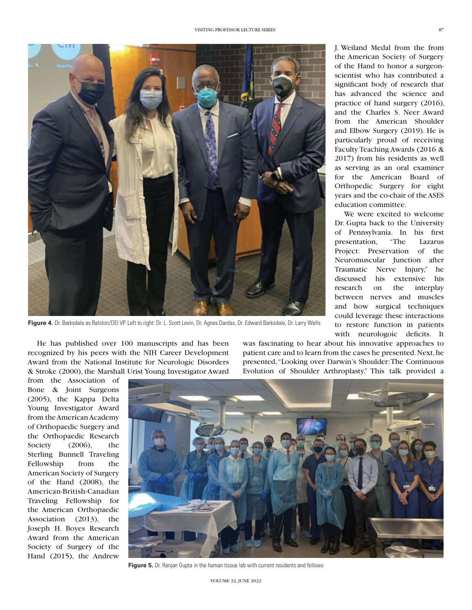

**Figure 4.** Dr. Barksdale as Ralston/DEI VP. Left to right: Dr. L. Scott Levin, Dr. Agnes Dardas, Dr. Edward Barksdale, Dr. Larry Wells

J. Weiland Medal from the from the American Society of Surgery of the Hand to honor a surgeonscientist who has contributed a significant body of research that has advanced the science and practice of hand surgery (2016), and the Charles S. Neer Award from the American Shoulder and Elbow Surgery (2019). He is particularly proud of receiving Faculty Teaching Awards (2016 & 2017) from his residents as well as serving as an oral examiner for the American Board of Orthopedic Surgery for eight years and the co-chair of the ASES education committee.

We were excited to welcome Dr. Gupta back to the University of Pennsylvania. In his first presentation, "The Lazarus Project: Preservation of the Neuromuscular Junction after Traumatic Nerve Injury," he discussed his extensive his research on the interplay between nerves and muscles and how surgical techniques could leverage these interactions to restore function in patients with neurologoic deficits. It

He has published over 100 manuscripts and has been recognized by his peers with the NIH Career Development Award from the National Institute for Neurologic Disorders & Stroke (2000), the Marshall Urist Young Investigator Award

was fascinating to hear about his innovative approaches to patient care and to learn from the cases he presented. Next, he presented, "Looking over Darwin's Shoulder: The Continuous Evolution of Shoulder Arthroplasty." This talk provided a

from the Association of Bone & Joint Surgeons (2005), the Kappa Delta Young Investigator Award from the American Academy of Orthopaedic Surgery and the Orthopaedic Research Society (2006), the Sterling Bunnell Traveling Fellowship from the American Society of Surgery of the Hand (2008), the American-British-Canadian Traveling Fellowship for the American Orthopaedic Association (2013), the Joseph H. Boyes Research Award from the American Society of Surgery of the Hand (2015), the Andrew



**Figure 5.** Dr. Ranjan Gupta in the human tissue lab with current residents and fellows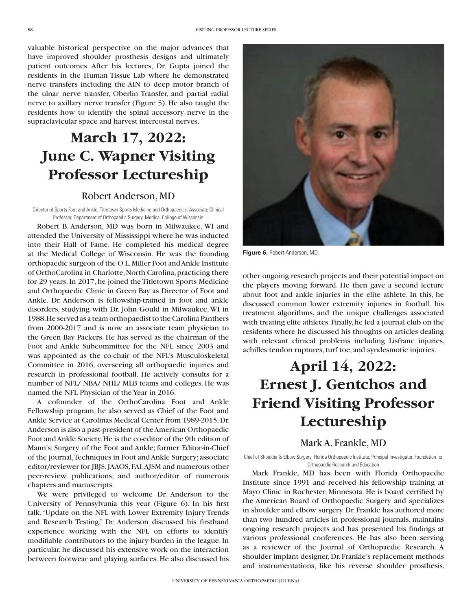valuable historical perspective on the major advances that have improved shoulder prosthesis designs and ultimately patient outcomes. After his lectures, Dr. Gupta joined the residents in the Human Tissue Lab where he demonstrated nerve transfers including the AIN to deep motor branch of the ulnar nerve transfer, Oberlin Transfer, and partial radial nerve to axillary nerve transfer (Figure 5). He also taught the residents how to identify the spinal accessory nerve in the supraclavicular space and harvest intercostal nerves.

### **March 17, 2022: June C. Wapner Visiting Professor Lectureship**

#### Robert Anderson, MD

Director of Sports Foot and Ankle, Titletown Sports Medicine and Orthopaedics; Associate Clinical Professor, Department of Orthopaedic Surgery, Medical College of Wisconsin

Robert B. Anderson, MD was born in Milwaukee, WI and attended the University of Mississippi where he was inducted into their Hall of Fame. He completed his medical degree at the Medical College of Wisconsin. He was the founding orthopaedic surgeon of the O.L. Miller Foot and Ankle Institute of OrthoCarolina in Charlotte, North Carolina, practicing there for 29 years. In 2017, he joined the Titletown Sports Medicine and Orthopaedic Clinic in Green Bay as Director of Foot and Ankle. Dr. Anderson is fellowship-trained in foot and ankle disorders, studying with Dr. John Gould in Milwaukee, WI in 1988. He served as a team orthopaedist to the Carolina Panthers from 2000-2017 and is now an associate team physician to the Green Bay Packers. He has served as the chairman of the Foot and Ankle Subcommittee for the NFL since 2003 and was appointed as the co-chair of the NFL's Musculoskeletal Committee in 2016, overseeing all orthopaedic injuries and research in professional football. He actively consults for a number of NFL/ NBA/ NHL/ MLB teams and colleges. He was named the NFL Physician of the Year in 2016.

A cofounder of the OrthoCarolina Foot and Ankle Fellowship program, he also served as Chief of the Foot and Ankle Service at Carolinas Medical Center from 1989-2015. Dr. Anderson is also a past-president of the American Orthopaedic Foot and Ankle Society. He is the co-editor of the 9th edition of Mann's: Surgery of the Foot and Ankle; former Editor-in-Chief of the journal, Techniques in Foot and Ankle Surgery; associate editor/reviewer for JBJS, JAAOS, FAI, AJSM and numerous other peer-review publications; and author/editor of numerous chapters and manuscripts.

We were privileged to welcome Dr. Anderson to the University of Pennsylvania this year (Figure 6). In his first talk, "Update on the NFL with Lower Extremity Injury Trends and Research Testing," Dr. Anderson discussed his firsthand experience working with the NFL on efforts to identify modifiable contributors to the injury burden in the league. In particular, he discussed his extensive work on the interaction between footwear and playing surfaces. He also discussed his



**Figure 6.** Robert Anderson, MD

other ongoing research projects and their potential impact on the players moving forward. He then gave a second lecture about foot and ankle injuries in the elite athlete. In this, he discussed common lower extremity injuries in football, his treatment algorithms, and the unique challenges associated with treating elite athletes. Finally, he led a journal club on the residents where he discussed his thoughts on articles dealing with relevant clinical problems including Lisfranc injuries, achilles tendon ruptures, turf toe, and syndesmotic injuries.

## **April 14, 2022: Ernest J. Gentchos and Friend Visiting Professor Lectureship**

#### Mark A. Frankle, MD

Chief of Shoulder & Elbow Surgery, Florida Orthopaedic Institute; Principal Investigator, Foundation for Orthopaedic Research and Education

Mark Frankle, MD has been with Florida Orthopaedic Institute since 1991 and received his fellowship training at Mayo Clinic in Rochester, Minnesota. He is board certified by the American Board of Orthopaedic Surgery and specializes in shoulder and elbow surgery. Dr. Frankle has authored more than two hundred articles in professional journals, maintains ongoing research projects and has presented his findings at various professional conferences. He has also been serving as a reviewer of the Journal of Orthopaedic Research. A shoulder implant designer, Dr. Frankle's replacement methods and instrumentations, like his reverse shoulder prosthesis,